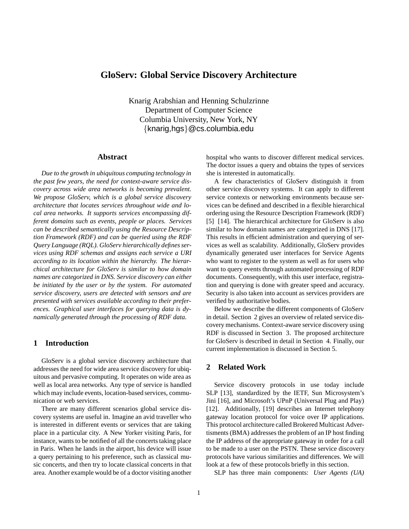# **GloServ: Global Service Discovery Architecture**

Knarig Arabshian and Henning Schulzrinne Department of Computer Science Columbia University, New York, NY {knarig,hgs}@cs.columbia.edu

#### **Abstract**

*Due to the growth in ubiquitous computing technology in the past few years, the need for context-aware service discovery across wide area networks is becoming prevalent. We propose GloServ, which is a global service discovery architecture that locates services throughout wide and local area networks. It supports services encompassing different domains such as events, people or places. Services can be described semantically using the Resource Description Framework (RDF) and can be queried using the RDF Query Language (RQL). GloServ hierarchically defines services using RDF schemas and assigns each service a URI according to its location within the hierarchy. The hierarchical architecture for GloServ is similar to how domain names are categorized in DNS. Service discovery can either be initiated by the user or by the system. For automated service discovery, users are detected with sensors and are presented with services available according to their preferences. Graphical user interfaces for querying data is dynamically generated through the processing of RDF data.*

## **1 Introduction**

GloServ is a global service discovery architecture that addresses the need for wide area service discovery for ubiquitous and pervasive computing. It operates on wide area as well as local area networks. Any type of service is handled which may include events, location-based services, communication or web services.

There are many different scenarios global service discovery systems are useful in. Imagine an avid traveller who is interested in different events or services that are taking place in a particular city. A New Yorker visiting Paris, for instance, wants to be notified of all the concerts taking place in Paris. When he lands in the airport, his device will issue a query pertaining to his preference, such as classical music concerts, and then try to locate classical concerts in that area. Another example would be of a doctor visiting another

hospital who wants to discover different medical services. The doctor issues a query and obtains the types of services she is interested in automatically.

A few characteristics of GloServ distinguish it from other service discovery systems. It can apply to different service contexts or networking environments because services can be defined and described in a flexible hierarchical ordering using the Resource Description Framework (RDF) [5] [14]. The hierarchical architecture for GloServ is also similar to how domain names are categorized in DNS [17]. This results in efficient administration and querying of services as well as scalability. Additionally, GloServ provides dynamically generated user interfaces for Service Agents who want to register to the system as well as for users who want to query events through automated processing of RDF documents. Consequently, with this user interface, registration and querying is done with greater speed and accuracy. Security is also taken into account as services providers are verified by authoritative bodies.

Below we describe the different components of GloServ in detail. Section 2 gives an overview of related service discovery mechanisms. Context-aware service discovery using RDF is discussed in Section 3. The proposed architecture for GloServ is described in detail in Section 4. Finally, our current implementation is discussed in Section 5.

## **2 Related Work**

Service discovery protocols in use today include SLP [13], standardized by the IETF, Sun Microsystem's Jini [16], and Microsoft's UPnP (Universal Plug and Play) [12]. Additionally, [19] describes an Internet telephony gateway location protocol for voice over IP applications. This protocol architecture called Brokered Multicast Advertisments (BMA) addresses the problem of an IP host finding the IP address of the appropriate gateway in order for a call to be made to a user on the PSTN. These service discovery protocols have various similarities and differences. We will look at a few of these protocols briefly in this section.

SLP has three main components: *User Agents (UA)*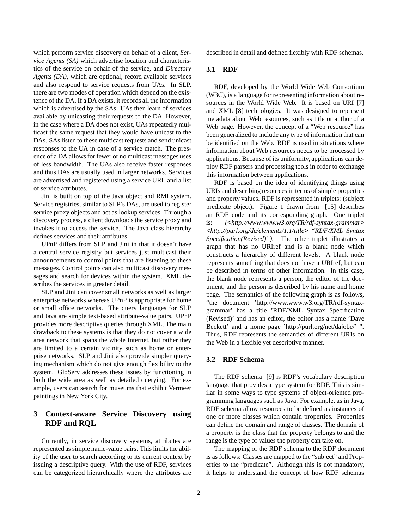which perform service discovery on behalf of a client, *Service Agents (SA)* which advertise location and characteristics of the service on behalf of the service, and *Directory Agents (DA)*, which are optional, record available services and also respond to service requests from UAs. In SLP, there are two modes of operation which depend on the existence of the DA. If a DA exists, it records all the information which is advertised by the SAs. UAs then learn of services available by unicasting their requests to the DA. However, in the case where a DA does not exist, UAs repeatedly multicast the same request that they would have unicast to the DAs. SAs listen to these multicast requests and send unicast responses to the UA in case of a service match. The presence of a DA allows for fewer or no multicast messages uses of less bandwidth. The UAs also receive faster responses and thus DAs are usually used in larger networks. Services are advertised and registered using a service URL and a list of service attributes.

Jini is built on top of the Java object and RMI system. Service registries, similar to SLP's DAs, are used to register service proxy objects and act as lookup services. Through a discovery process, a client downloads the service proxy and invokes it to access the service. The Java class hierarchy defines services and their attributes.

UPnP differs from SLP and Jini in that it doesn't have a central service registry but services just multicast their announcements to control points that are listening to these messages. Control points can also multicast discovery messages and search for devices within the system. XML describes the services in greater detail.

SLP and Jini can cover small networks as well as larger enterprise networks whereas UPnP is appropriate for home or small office networks. The query languages for SLP and Java are simple text-based attribute-value pairs. UPnP provides more descriptive queries through XML. The main drawback to these systems is that they do not cover a wide area network that spans the whole Internet, but rather they are limited to a certain vicinity such as home or enterprise networks. SLP and Jini also provide simpler querying mechanism which do not give enough flexibility to the system. GloServ addresses these issues by functioning in both the wide area as well as detailed querying. For example, users can search for museums that exhibit Vermeer paintings in New York City.

## **3 Context-aware Service Discovery using RDF and RQL**

Currently, in service discovery systems, attributes are represented as simple name-value pairs. This limits the ability of the user to search according to its current context by issuing a descriptive query. With the use of RDF, services can be categorized hierarchically where the attributes are described in detail and defined flexibly with RDF schemas.

### **3.1 RDF**

RDF, developed by the World Wide Web Consortium (W3C), is a language for representing information about resources in the World Wide Web. It is based on URI [7] and XML [8] technologies. It was designed to represent metadata about Web resources, such as title or author of a Web page. However, the concept of a "Web resource" has been generalized to include any type of information that can be identified on the Web. RDF is used in situations where information about Web resources needs to be processed by applications. Because of its uniformity, applications can deploy RDF parsers and processing tools in order to exchange this information between applications.

RDF is based on the idea of identifying things using URIs and describing resources in terms of simple properties and property values. RDF is represented in triplets: (subject predicate object). Figure 1 drawn from [15] describes an RDF code and its corresponding graph. One triplet is: *(*<*http://www.www.w3.org/TR/rdf-syntax-grammar*> <*http://purl.org/dc/elements/1.1/title*> *"RDF/XML Syntax Specification(Revised)")*. The other triplet illustrates a graph that has no URIref and is a blank node which constructs a hierarchy of different levels. A blank node represents something that does not have a URIref, but can be described in terms of other information. In this case, the blank node represents a person, the editor of the document, and the person is described by his name and home page. The semantics of the following graph is as follows, "the document 'http://www.www.w3.org/TR/rdf-syntaxgrammar' has a title 'RDF/XML Syntax Specification (Revised)' and has an editor, the editor has a name 'Dave Beckett' and a home page 'http://purl.org/net/dajobe/' ". Thus, RDF represents the semantics of different URIs on the Web in a flexible yet descriptive manner.

### **3.2 RDF Schema**

The RDF schema [9] is RDF's vocabulary description language that provides a type system for RDF. This is similar in some ways to type systems of object-oriented programming languages such as Java. For example, as in Java, RDF schema allow resources to be defined as instances of one or more classes which contain properties. Properties can define the domain and range of classes. The domain of a property is the class that the property belongs to and the range is the type of values the property can take on.

The mapping of the RDF schema to the RDF document is as follows: Classes are mapped to the "subject" and Properties to the "predicate". Although this is not mandatory, it helps to understand the concept of how RDF schemas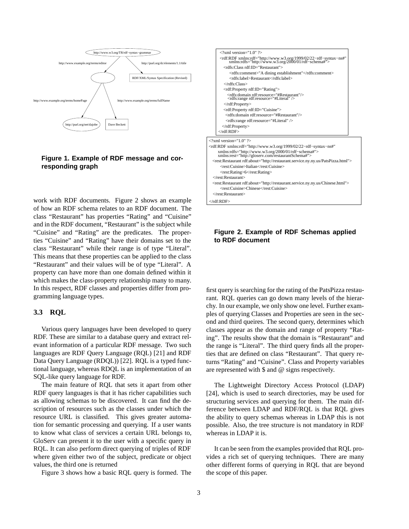

### **Figure 1. Example of RDF message and corresponding graph**

work with RDF documents. Figure 2 shows an example of how an RDF schema relates to an RDF document. The class "Restaurant" has properties "Rating" and "Cuisine" and in the RDF document, "Restaurant" is the subject while "Cuisine" and "Rating" are the predicates. The properties "Cuisine" and "Rating" have their domains set to the class "Restaurant" while their range is of type "Literal". This means that these properties can be applied to the class "Restaurant" and their values will be of type "Literal". A property can have more than one domain defined within it which makes the class-property relationship many to many. In this respect, RDF classes and properties differ from programming language types.

### **3.3 RQL**

Various query languages have been developed to query RDF. These are similar to a database query and extract relevant information of a particular RDF message. Two such languages are RDF Query Language (RQL) [21] and RDF Data Query Language (RDQL)) [22]. RQL is a typed functional language, whereas RDQL is an implementation of an SQL-like query language for RDF.

The main feature of RQL that sets it apart from other RDF query languages is that it has richer capabilities such as allowing schemas to be discovered. It can find the description of resources such as the classes under which the resource URL is classified. This gives greater automation for semantic processing and querying. If a user wants to know what class of services a certain URL belongs to, GloServ can present it to the user with a specific query in RQL. It can also perform direct querying of triples of RDF where given either two of the subject, predicate or object values, the third one is returned

Figure 3 shows how a basic RQL query is formed. The



### **Figure 2. Example of RDF Schemas applied to RDF document**

first query is searching for the rating of the PatsPizza restaurant. RQL queries can go down many levels of the hierarchy. In our example, we only show one level. Further examples of querying Classes and Properties are seen in the second and third queires. The second query, determines which classes appear as the domain and range of property "Rating". The results show that the domain is "Restaurant" and the range is "Literal". The third query finds all the properties that are defined on class "Restaurant". That query returns "Rating" and "Cuisine". Class and Property variables are represented with \$ and @ signs respectively.

The Lightweight Directory Access Protocol (LDAP) [24], which is used to search directories, may be used for structuring services and querying for them. The main difference between LDAP and RDF/RQL is that RQL gives the ability to query schemas whereas in LDAP this is not possible. Also, the tree structure is not mandatory in RDF whereas in LDAP it is.

It can be seen from the examples provided that RQL provides a rich set of querying techniques. There are many other different forms of querying in RQL that are beyond the scope of this paper.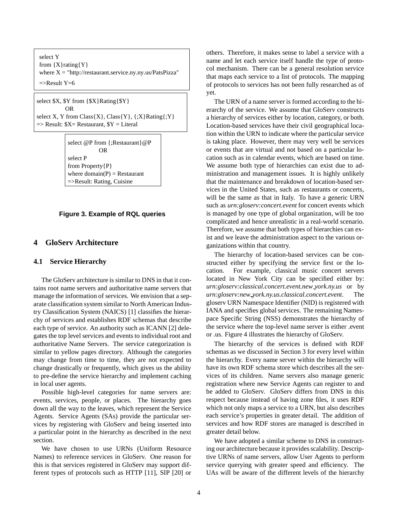$=\geq$ Result Y=6 where  $X = "http://restaurant.service.ny.ny.us/PatsPizza"$ from  ${X}$ rating ${Y}$ select Y

OR  $\Rightarrow$  Result:  $X =$  Restaurant,  $Y =$  Literal select X, Y from Class $\{X\}$ , Class $\{Y\}$ ,  $\{X\}$ Rating $\{Y\}$ select \$X, \$Y from {\$X}Rating{\$Y}

> =>Result: Rating, Cuisine where domain( $P$ ) = Restaurant from Property{P} select @P from {;Restaurant}@P select P OR

#### **Figure 3. Example of RQL queries**

## **4 GloServ Architecture**

## **4.1 Service Hierarchy**

The GloServ architecture is similar to DNS in that it contains root name servers and authoritative name servers that manage the information of services. We envision that a separate classification system similar to North American Industry Classification System (NAICS) [1] classifies the hierarchy of services and establishes RDF schemas that describe each type of service. An authority such as ICANN [2] delegates the top level services and events to individual root and authoritative Name Servers. The service categorization is similar to yellow pages directory. Although the categories may change from time to time, they are not expected to change drastically or frequently, which gives us the ability to pre-define the service hierarchy and implement caching in local user agents.

Possible high-level categories for name servers are: events, services, people, or places. The hierarchy goes down all the way to the leaves, which represent the Service Agents. Service Agents (SAs) provide the particular services by registering with GloServ and being inserted into a particular point in the hierarchy as described in the next section.

We have chosen to use URNs (Uniform Resource Names) to reference services in GloServ. One reason for this is that services registered in GloServ may support different types of protocols such as HTTP [11], SIP [20] or others. Therefore, it makes sense to label a service with a name and let each service itself handle the type of protocol mechanism. There can be a general resolution service that maps each service to a list of protocols. The mapping of protocols to services has not been fully researched as of yet.

The URN of a name server is formed according to the hierarchy of the service. We assume that GloServ constructs a hierarchy of services either by location, category, or both. Location-based services have their civil geographical location within the URN to indicate where the particular service is taking place. However, there may very well be services or events that are virtual and not based on a particular location such as in calendar events, which are based on time. We assume both type of hierarchies can exist due to administration and management issues. It is highly unlikely that the maintenance and breakdown of location-based services in the United States, such as restaurants or concerts, will be the same as that in Italy. To have a generic URN such as *urn:gloserv:concert.event* for concert events which is managed by one type of global organization, will be too complicated and hence unrealistic in a real-world scenario. Therefore, we assume that both types of hierarchies can exist and we leave the administration aspect to the various organizations within that country.

The hierarchy of location-based services can be constructed either by specifying the service first or the location. For example, classical music concert servers located in New York City can be specified either by: *urn:gloserv:classical.concert.event.new york.ny.us* or by *urn:gloserv:new york.ny.us.classical.concert.event*. The gloserv URN Namespace Identifier (NID) is registered with IANA and specifies global services. The remaining Namespace Specific String (NSS) demonstrates the hierarchy of the service where the top-level name server is either .event or .us. Figure 4 illustrates the hierarchy of GloServ.

The hierarchy of the services is defined with RDF schemas as we discussed in Section 3 for every level within the hierarchy. Every name server within the hierarchy will have its own RDF schema store which describes all the services of its children. Name servers also manage generic registration where new Service Agents can register to and be added to GloServ. GloServ differs from DNS in this respect because instead of having zone files, it uses RDF which not only maps a service to a URN, but also describes each service's properties in greater detail. The addition of services and how RDF stores are managed is described in greater detail below.

We have adopted a similar scheme to DNS in constructing our architecture because it provides scalability. Descriptive URNs of name servers, allow User Agents to perform service querying with greater speed and efficiency. The UAs will be aware of the different levels of the hierarchy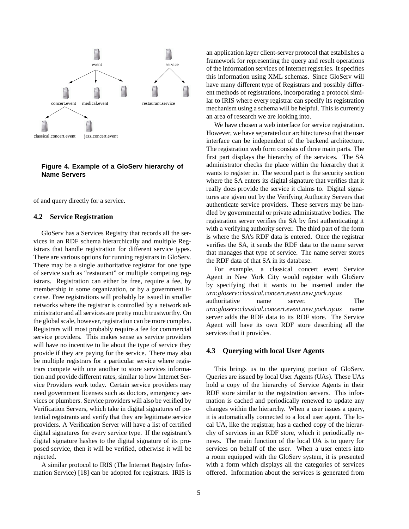

### **Figure 4. Example of a GloServ hierarchy of Name Servers**

of and query directly for a service.

#### **4.2 Service Registration**

GloServ has a Services Registry that records all the services in an RDF schema hierarchically and multiple Registrars that handle registration for different service types. There are various options for running registrars in GloServ. There may be a single authoritative registrar for one type of service such as "restaurant" or multiple competing registrars. Registration can either be free, require a fee, by membership in some organization, or by a government license. Free registrations will probably be issued in smaller networks where the registrar is controlled by a network administrator and all services are pretty much trustworthy. On the global scale, however, registration can be more complex. Registrars will most probably require a fee for commercial service providers. This makes sense as service providers will have no incentive to lie about the type of service they provide if they are paying for the service. There may also be multiple registrars for a particular service where registrars compete with one another to store services information and provide different rates, similar to how Internet Service Providers work today. Certain service providers may need government licenses such as doctors, emergency services or plumbers. Service providers will also be verified by Verification Servers, which take in digital signatures of potential registrants and verify that they are legitimate service providers. A Verification Server will have a list of certified digital signatures for every service type. If the registrant's digital signature hashes to the digital signature of its proposed service, then it will be verified, otherwise it will be rejected.

A similar protocol to IRIS (The Internet Registry Information Service) [18] can be adopted for registrars. IRIS is an application layer client-server protocol that establishes a framework for representing the query and result operations of the information services of Internet registries. It specifies this information using XML schemas. Since GloServ will have many different type of Registrars and possibly different methods of registrations, incorporating a protocol similar to IRIS where every registrar can specify its registration mechanism using a schema will be helpful. This is currently an area of research we are looking into.

We have chosen a web interface for service registration. However, we have separated our architecture so that the user interface can be independent of the backend architecture. The registration web form consists of three main parts. The first part displays the hierarchy of the services. The SA administrator checks the place within the hierarchy that it wants to register in. The second part is the security section where the SA enters its digital signature that verifies that it really does provide the service it claims to. Digital signatures are given out by the Verifying Authority Servers that authenticate service providers. These servers may be handled by governmental or private administrative bodies. The registration server verifies the SA by first authenticating it with a verifying authority server. The third part of the form is where the SA's RDF data is entered. Once the registrar verifies the SA, it sends the RDF data to the name server that manages that type of service. The name server stores the RDF data of that SA in its database.

For example, a classical concert event Service Agent in New York City would register with GloServ by specifying that it wants to be inserted under the *urn:gloserv:classical.concert.event.new york.ny.us* authoritative name server. The *urn:gloserv:classical.concert.event.new york.ny.us* name server adds the RDF data to its RDF store. The Service Agent will have its own RDF store describing all the services that it provides.

#### **4.3 Querying with local User Agents**

This brings us to the querying portion of GloServ. Queries are issued by local User Agents (UAs). These UAs hold a copy of the hierarchy of Service Agents in their RDF store similar to the registration servers. This information is cached and periodically renewed to update any changes within the hierarchy. When a user issues a query, it is automatically connected to a local user agent. The local UA, like the registrar, has a cached copy of the hierarchy of services in an RDF store, which it periodically renews. The main function of the local UA is to query for services on behalf of the user. When a user enters into a room equipped with the GloServ system, it is presented with a form which displays all the categories of services offered. Information about the services is generated from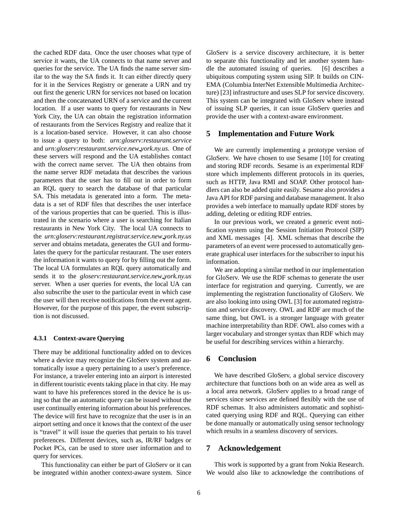the cached RDF data. Once the user chooses what type of service it wants, the UA connects to that name server and queries for the service. The UA finds the name server similar to the way the SA finds it. It can either directly query for it in the Services Registry or generate a URN and try out first the generic URN for services not based on location and then the concatenated URN of a service and the current location. If a user wants to query for restaurants in New York City, the UA can obtain the registration information of restaurants from the Services Registry and realize that it is a location-based service. However, it can also choose to issue a query to both: *urn:gloserv:restaurant.service* and *urn:gloserv:restaurant.service.new york.ny.us*. One of these servers will respond and the UA establishes contact with the correct name server. The UA then obtains from the name server RDF metadata that describes the various parameters that the user has to fill out in order to form an RQL query to search the database of that particular SA. This metadata is generated into a form. The metadata is a set of RDF files that describes the user interface of the various properties that can be queried. This is illustrated in the scenario where a user is searching for Italian restaurants in New York City. The local UA connects to the *urn:gloserv:restaurant.registrar.service.new york.ny.us* server and obtains metadata, generates the GUI and formulates the query for the particular restaurant. The user enters the information it wants to query for by filling out the form. The local UA formulates an RQL query automatically and sends it to the *gloserv:restaurant.service.new york.ny.us* server. When a user queries for events, the local UA can also subscribe the user to the particular event in which case the user will then receive notifications from the event agent. However, for the purpose of this paper, the event subscription is not discussed.

#### **4.3.1 Context-aware Querying**

There may be additional functionality added on to devices where a device may recognize the GloServ system and automatically issue a query pertaining to a user's preference. For instance, a traveler entering into an airport is interested in different touristic events taking place in that city. He may want to have his preferences stored in the device he is using so that the an automatic query can be issued without the user continually entering information about his preferences. The device will first have to recognize that the user is in an airport setting and once it knows that the context of the user is "travel" it will issue the queries that pertain to his travel preferences. Different devices, such as, IR/RF badges or Pocket PCs, can be used to store user information and to query for services.

This functionality can either be part of GloServ or it can be integrated within another context-aware system. Since GloServ is a service discovery architecture, it is better to separate this functionality and let another system handle the automated issuing of queries. [6] describes a ubiquitous computing system using SIP. It builds on CIN-EMA (Columbia InterNet Extensible Multimedia Architecture) [23] infrastructure and uses SLP for service discovery. This system can be integrated with GloServ where instead of issuing SLP queries, it can issue GloServ queries and provide the user with a context-aware environment.

### **5 Implementation and Future Work**

We are currently implementing a prototype version of GloServ. We have chosen to use Sesame [10] for creating and storing RDF records. Sesame is an experimental RDF store which implements different protocols in its queries, such as HTTP, Java RMI and SOAP. Other protocol handlers can also be added quite easily. Sesame also provides a Java API for RDF parsing and database management. It also provides a web interface to manually update RDF stores by adding, deleting or editing RDF entries.

In our previous work, we created a generic event notification system using the Session Initiation Protocol (SIP) and XML messages [4]. XML schemas that describe the parameters of an event were processed to automatically generate graphical user interfaces for the subscriber to input his information.

We are adopting a similar method in our implementation for GloServ. We use the RDF schemas to generate the user interface for registration and querying. Currently, we are implementing the registration functionality of GloServ. We are also looking into using OWL [3] for automated registration and service discovery. OWL and RDF are much of the same thing, but OWL is a stronger language with greater machine interpretability than RDF. OWL also comes with a larger vocabulary and stronger syntax than RDF which may be useful for describing services within a hierarchy.

### **6 Conclusion**

We have described GloServ, a global service discovery architecture that functions both on an wide area as well as a local area network. GloServ applies to a broad range of services since services are defined flexibly with the use of RDF schemas. It also administers automatic and sophisticated querying using RDF and RQL. Querying can either be done manually or automatically using sensor technology which results in a seamless discovery of services.

### **7 Acknowledgement**

This work is supported by a grant from Nokia Research. We would also like to acknowledge the contributions of